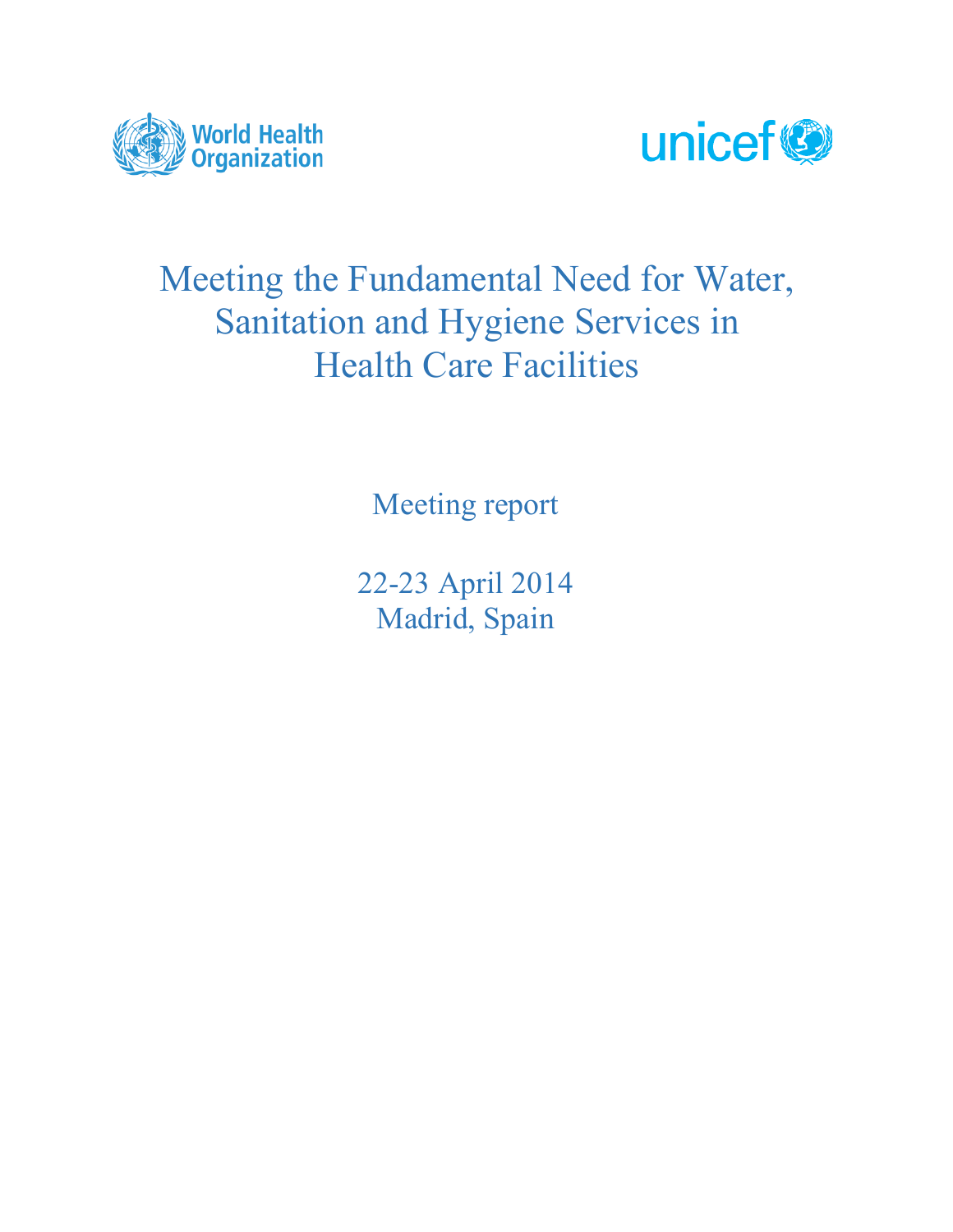



# Meeting the Fundamental Need for Water, Sanitation and Hygiene Services in Health Care Facilities

Meeting report

22-23 April 2014 Madrid, Spain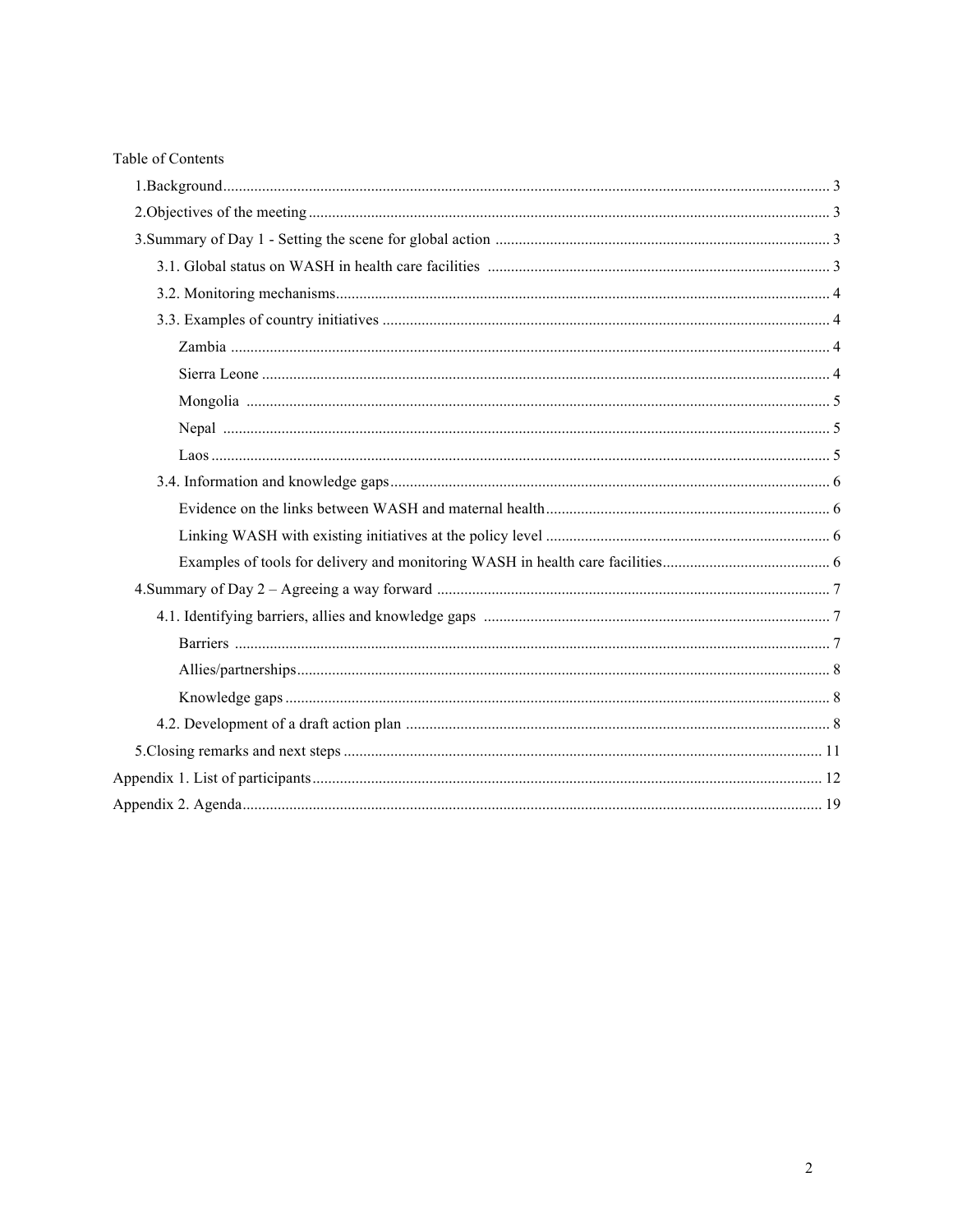| Table of Contents |  |
|-------------------|--|
|                   |  |
|                   |  |
|                   |  |
|                   |  |
|                   |  |
|                   |  |
|                   |  |
|                   |  |
|                   |  |
|                   |  |
|                   |  |
|                   |  |
|                   |  |
|                   |  |
|                   |  |
|                   |  |
|                   |  |
|                   |  |
|                   |  |
|                   |  |
|                   |  |
|                   |  |
|                   |  |
|                   |  |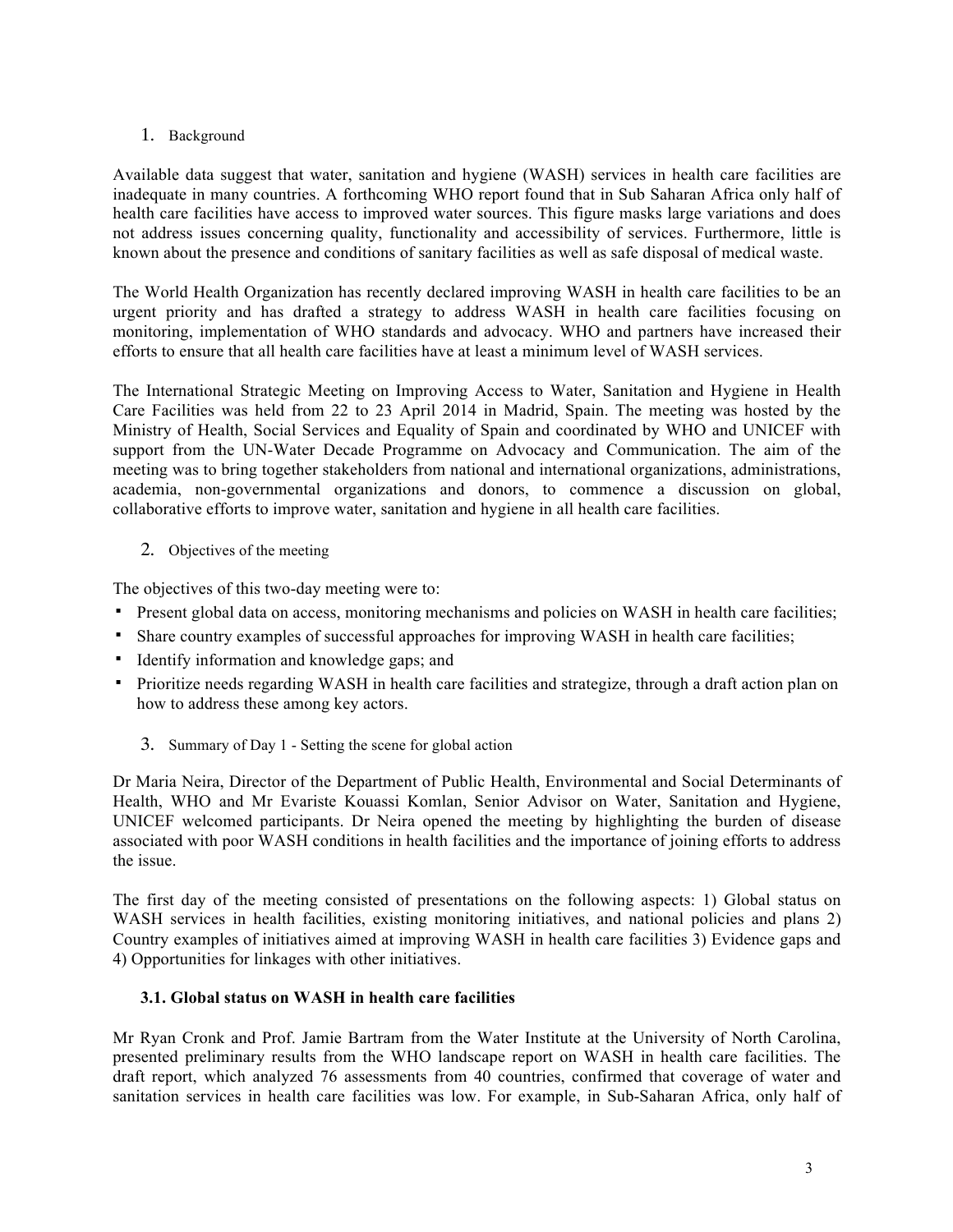## 1. Background

Available data suggest that water, sanitation and hygiene (WASH) services in health care facilities are inadequate in many countries. A forthcoming WHO report found that in Sub Saharan Africa only half of health care facilities have access to improved water sources. This figure masks large variations and does not address issues concerning quality, functionality and accessibility of services. Furthermore, little is known about the presence and conditions of sanitary facilities as well as safe disposal of medical waste.

The World Health Organization has recently declared improving WASH in health care facilities to be an urgent priority and has drafted a strategy to address WASH in health care facilities focusing on monitoring, implementation of WHO standards and advocacy. WHO and partners have increased their efforts to ensure that all health care facilities have at least a minimum level of WASH services.

The International Strategic Meeting on Improving Access to Water, Sanitation and Hygiene in Health Care Facilities was held from 22 to 23 April 2014 in Madrid, Spain. The meeting was hosted by the Ministry of Health, Social Services and Equality of Spain and coordinated by WHO and UNICEF with support from the UN-Water Decade Programme on Advocacy and Communication. The aim of the meeting was to bring together stakeholders from national and international organizations, administrations, academia, non-governmental organizations and donors, to commence a discussion on global, collaborative efforts to improve water, sanitation and hygiene in all health care facilities.

## 2. Objectives of the meeting

The objectives of this two-day meeting were to:

- Present global data on access, monitoring mechanisms and policies on WASH in health care facilities;
- Share country examples of successful approaches for improving WASH in health care facilities;
- Identify information and knowledge gaps; and
- Prioritize needs regarding WASH in health care facilities and strategize, through a draft action plan on how to address these among key actors.
	- 3. Summary of Day 1 Setting the scene for global action

Dr Maria Neira, Director of the Department of Public Health, Environmental and Social Determinants of Health, WHO and Mr Evariste Kouassi Komlan, Senior Advisor on Water, Sanitation and Hygiene, UNICEF welcomed participants. Dr Neira opened the meeting by highlighting the burden of disease associated with poor WASH conditions in health facilities and the importance of joining efforts to address the issue.

The first day of the meeting consisted of presentations on the following aspects: 1) Global status on WASH services in health facilities, existing monitoring initiatives, and national policies and plans 2) Country examples of initiatives aimed at improving WASH in health care facilities 3) Evidence gaps and 4) Opportunities for linkages with other initiatives.

## **3.1. Global status on WASH in health care facilities**

Mr Ryan Cronk and Prof. Jamie Bartram from the Water Institute at the University of North Carolina, presented preliminary results from the WHO landscape report on WASH in health care facilities. The draft report, which analyzed 76 assessments from 40 countries, confirmed that coverage of water and sanitation services in health care facilities was low. For example, in Sub-Saharan Africa, only half of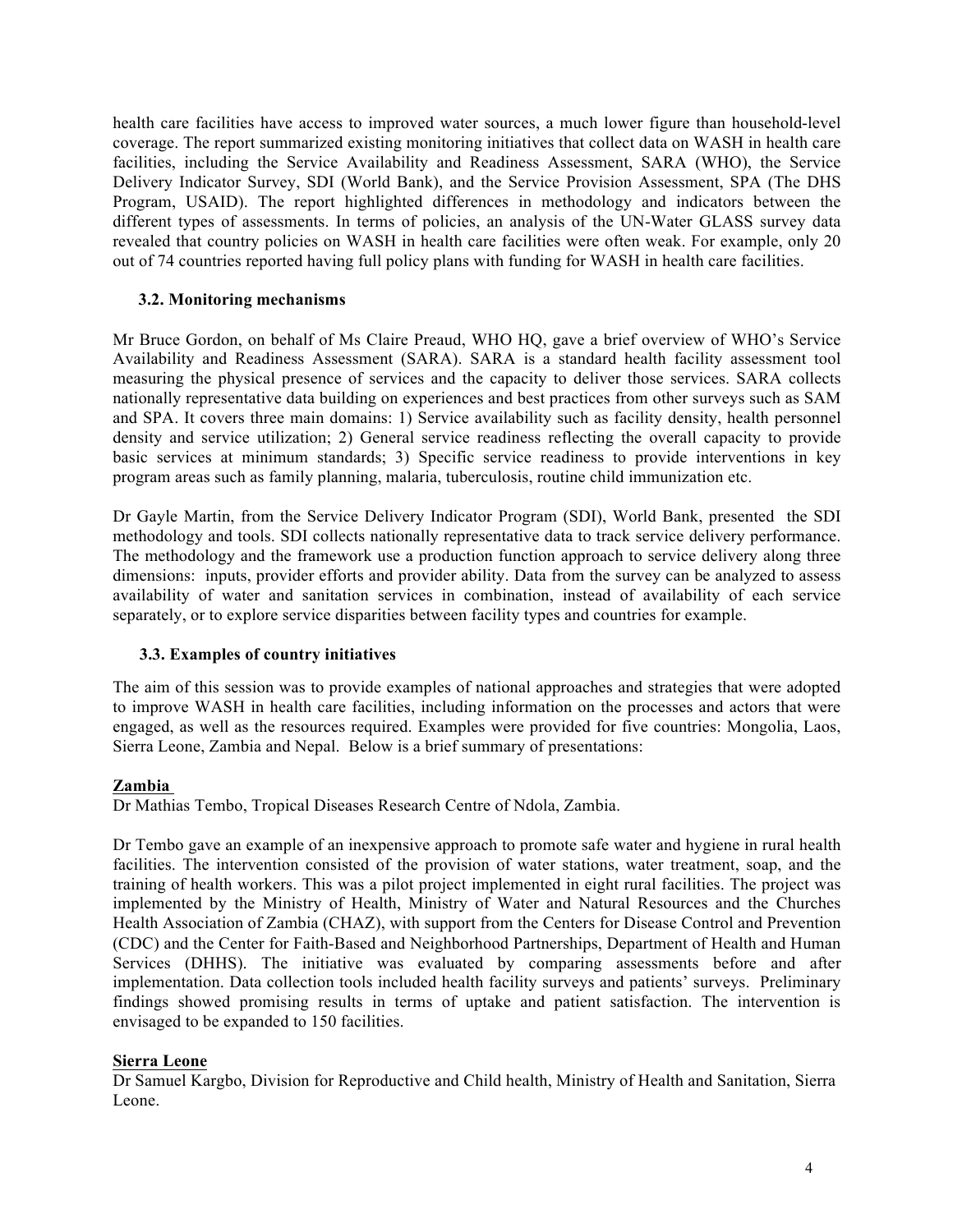health care facilities have access to improved water sources, a much lower figure than household-level coverage. The report summarized existing monitoring initiatives that collect data on WASH in health care facilities, including the Service Availability and Readiness Assessment, SARA (WHO), the Service Delivery Indicator Survey, SDI (World Bank), and the Service Provision Assessment, SPA (The DHS Program, USAID). The report highlighted differences in methodology and indicators between the different types of assessments. In terms of policies, an analysis of the UN-Water GLASS survey data revealed that country policies on WASH in health care facilities were often weak. For example, only 20 out of 74 countries reported having full policy plans with funding for WASH in health care facilities.

## **3.2. Monitoring mechanisms**

Mr Bruce Gordon, on behalf of Ms Claire Preaud, WHO HQ, gave a brief overview of WHO's Service Availability and Readiness Assessment (SARA). SARA is a standard health facility assessment tool measuring the physical presence of services and the capacity to deliver those services. SARA collects nationally representative data building on experiences and best practices from other surveys such as SAM and SPA. It covers three main domains: 1) Service availability such as facility density, health personnel density and service utilization; 2) General service readiness reflecting the overall capacity to provide basic services at minimum standards; 3) Specific service readiness to provide interventions in key program areas such as family planning, malaria, tuberculosis, routine child immunization etc.

Dr Gayle Martin, from the Service Delivery Indicator Program (SDI), World Bank, presented the SDI methodology and tools. SDI collects nationally representative data to track service delivery performance. The methodology and the framework use a production function approach to service delivery along three dimensions: inputs, provider efforts and provider ability. Data from the survey can be analyzed to assess availability of water and sanitation services in combination, instead of availability of each service separately, or to explore service disparities between facility types and countries for example.

## **3.3. Examples of country initiatives**

The aim of this session was to provide examples of national approaches and strategies that were adopted to improve WASH in health care facilities, including information on the processes and actors that were engaged, as well as the resources required. Examples were provided for five countries: Mongolia, Laos, Sierra Leone, Zambia and Nepal. Below is a brief summary of presentations:

## **Zambia**

Dr Mathias Tembo, Tropical Diseases Research Centre of Ndola, Zambia.

Dr Tembo gave an example of an inexpensive approach to promote safe water and hygiene in rural health facilities. The intervention consisted of the provision of water stations, water treatment, soap, and the training of health workers. This was a pilot project implemented in eight rural facilities. The project was implemented by the Ministry of Health, Ministry of Water and Natural Resources and the Churches Health Association of Zambia (CHAZ), with support from the Centers for Disease Control and Prevention (CDC) and the Center for Faith-Based and Neighborhood Partnerships, Department of Health and Human Services (DHHS). The initiative was evaluated by comparing assessments before and after implementation. Data collection tools included health facility surveys and patients' surveys. Preliminary findings showed promising results in terms of uptake and patient satisfaction. The intervention is envisaged to be expanded to 150 facilities.

## **Sierra Leone**

Dr Samuel Kargbo, Division for Reproductive and Child health, Ministry of Health and Sanitation, Sierra Leone.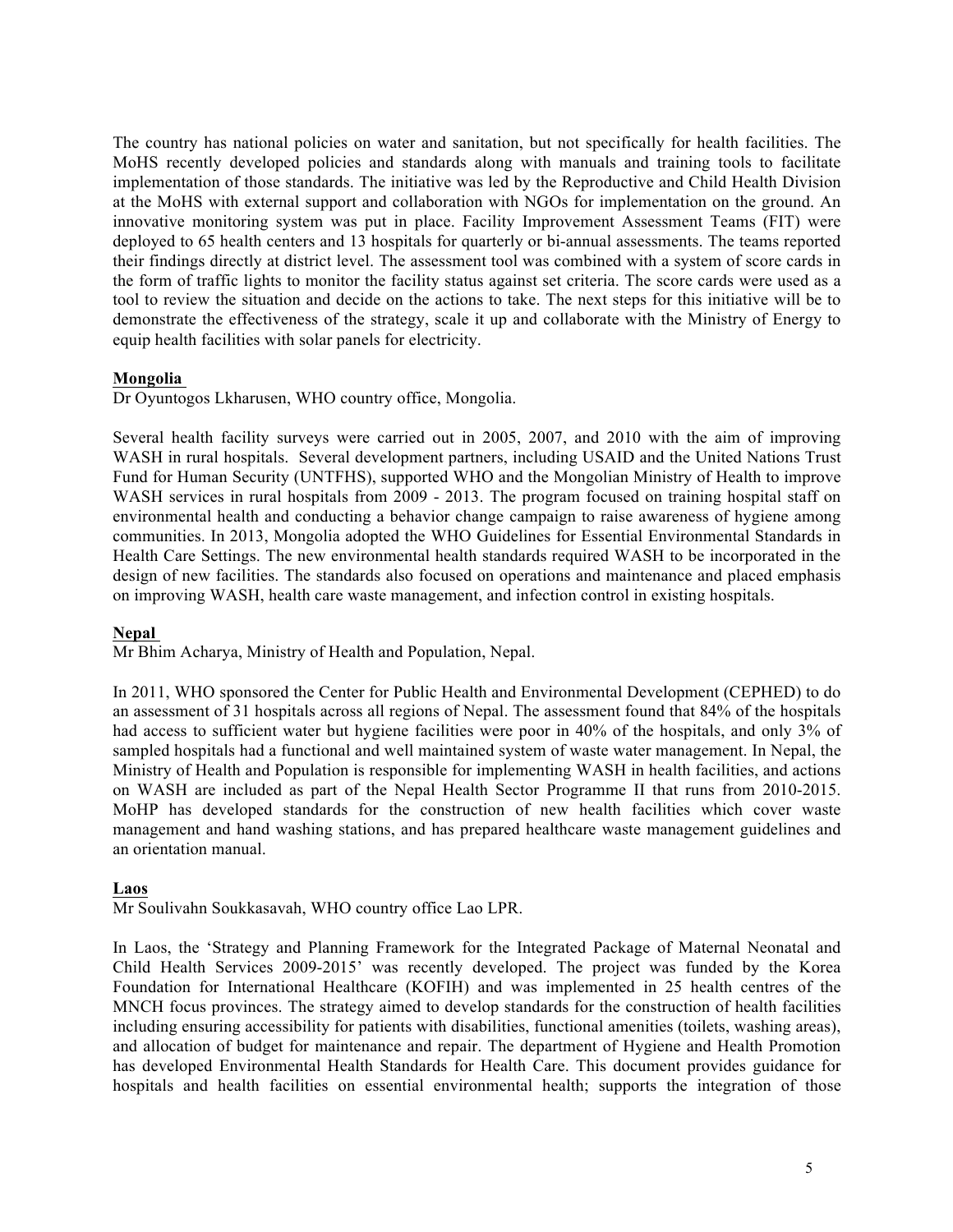The country has national policies on water and sanitation, but not specifically for health facilities. The MoHS recently developed policies and standards along with manuals and training tools to facilitate implementation of those standards. The initiative was led by the Reproductive and Child Health Division at the MoHS with external support and collaboration with NGOs for implementation on the ground. An innovative monitoring system was put in place. Facility Improvement Assessment Teams (FIT) were deployed to 65 health centers and 13 hospitals for quarterly or bi-annual assessments. The teams reported their findings directly at district level. The assessment tool was combined with a system of score cards in the form of traffic lights to monitor the facility status against set criteria. The score cards were used as a tool to review the situation and decide on the actions to take. The next steps for this initiative will be to demonstrate the effectiveness of the strategy, scale it up and collaborate with the Ministry of Energy to equip health facilities with solar panels for electricity.

## **Mongolia**

Dr Oyuntogos Lkharusen, WHO country office, Mongolia.

Several health facility surveys were carried out in 2005, 2007, and 2010 with the aim of improving WASH in rural hospitals. Several development partners, including USAID and the United Nations Trust Fund for Human Security (UNTFHS), supported WHO and the Mongolian Ministry of Health to improve WASH services in rural hospitals from 2009 - 2013. The program focused on training hospital staff on environmental health and conducting a behavior change campaign to raise awareness of hygiene among communities. In 2013, Mongolia adopted the WHO Guidelines for Essential Environmental Standards in Health Care Settings. The new environmental health standards required WASH to be incorporated in the design of new facilities. The standards also focused on operations and maintenance and placed emphasis on improving WASH, health care waste management, and infection control in existing hospitals.

## **Nepal**

Mr Bhim Acharya, Ministry of Health and Population, Nepal.

In 2011, WHO sponsored the Center for Public Health and Environmental Development (CEPHED) to do an assessment of 31 hospitals across all regions of Nepal. The assessment found that 84% of the hospitals had access to sufficient water but hygiene facilities were poor in 40% of the hospitals, and only 3% of sampled hospitals had a functional and well maintained system of waste water management. In Nepal, the Ministry of Health and Population is responsible for implementing WASH in health facilities, and actions on WASH are included as part of the Nepal Health Sector Programme II that runs from 2010-2015. MoHP has developed standards for the construction of new health facilities which cover waste management and hand washing stations, and has prepared healthcare waste management guidelines and an orientation manual.

## **Laos**

Mr Soulivahn Soukkasavah, WHO country office Lao LPR.

In Laos, the 'Strategy and Planning Framework for the Integrated Package of Maternal Neonatal and Child Health Services 2009-2015' was recently developed. The project was funded by the Korea Foundation for International Healthcare (KOFIH) and was implemented in 25 health centres of the MNCH focus provinces. The strategy aimed to develop standards for the construction of health facilities including ensuring accessibility for patients with disabilities, functional amenities (toilets, washing areas), and allocation of budget for maintenance and repair. The department of Hygiene and Health Promotion has developed Environmental Health Standards for Health Care. This document provides guidance for hospitals and health facilities on essential environmental health; supports the integration of those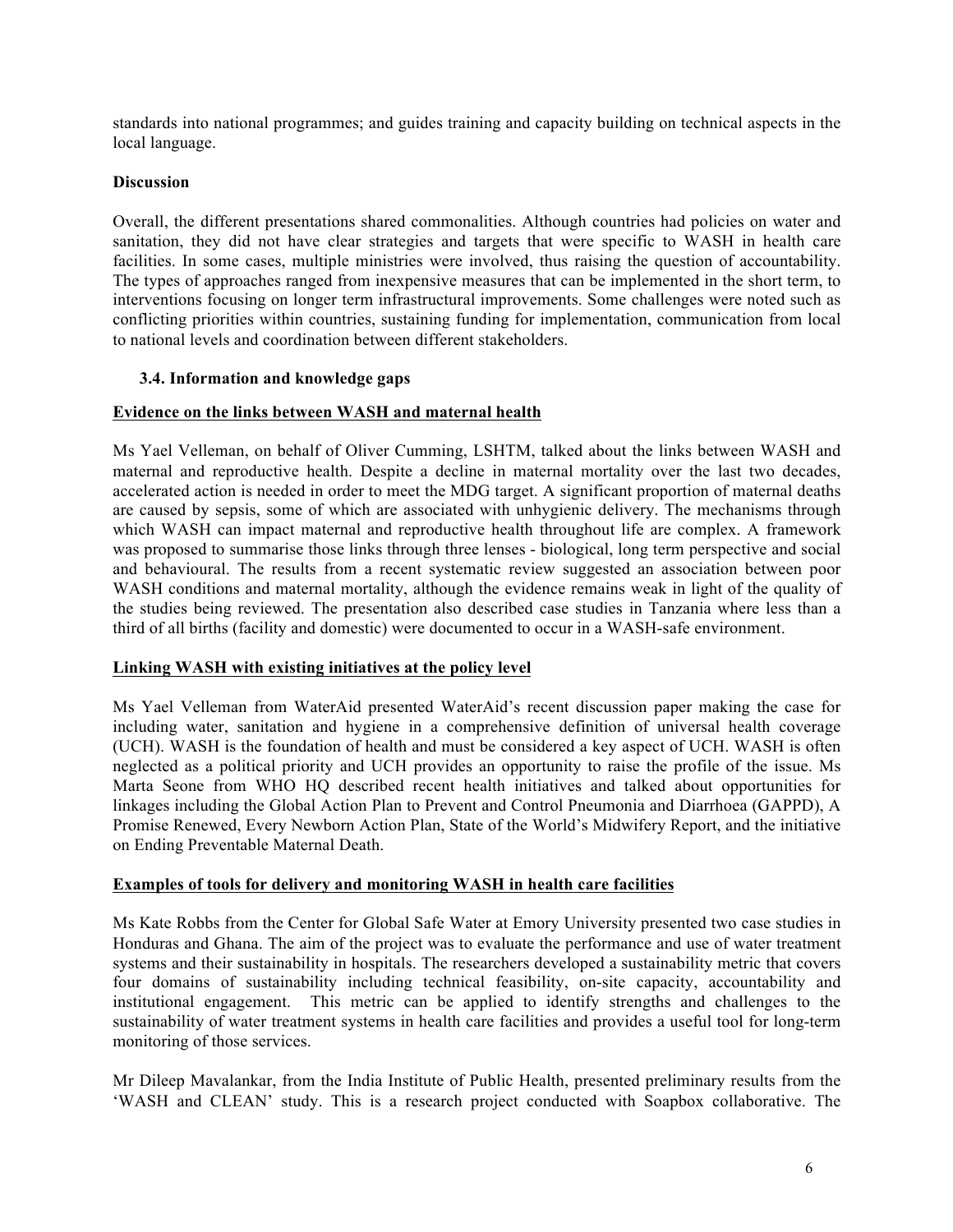standards into national programmes; and guides training and capacity building on technical aspects in the local language.

## **Discussion**

Overall, the different presentations shared commonalities. Although countries had policies on water and sanitation, they did not have clear strategies and targets that were specific to WASH in health care facilities. In some cases, multiple ministries were involved, thus raising the question of accountability. The types of approaches ranged from inexpensive measures that can be implemented in the short term, to interventions focusing on longer term infrastructural improvements. Some challenges were noted such as conflicting priorities within countries, sustaining funding for implementation, communication from local to national levels and coordination between different stakeholders.

## **3.4. Information and knowledge gaps**

## **Evidence on the links between WASH and maternal health**

Ms Yael Velleman, on behalf of Oliver Cumming, LSHTM, talked about the links between WASH and maternal and reproductive health. Despite a decline in maternal mortality over the last two decades, accelerated action is needed in order to meet the MDG target. A significant proportion of maternal deaths are caused by sepsis, some of which are associated with unhygienic delivery. The mechanisms through which WASH can impact maternal and reproductive health throughout life are complex. A framework was proposed to summarise those links through three lenses - biological, long term perspective and social and behavioural. The results from a recent systematic review suggested an association between poor WASH conditions and maternal mortality, although the evidence remains weak in light of the quality of the studies being reviewed. The presentation also described case studies in Tanzania where less than a third of all births (facility and domestic) were documented to occur in a WASH-safe environment.

## **Linking WASH with existing initiatives at the policy level**

Ms Yael Velleman from WaterAid presented WaterAid's recent discussion paper making the case for including water, sanitation and hygiene in a comprehensive definition of universal health coverage (UCH). WASH is the foundation of health and must be considered a key aspect of UCH. WASH is often neglected as a political priority and UCH provides an opportunity to raise the profile of the issue. Ms Marta Seone from WHO HQ described recent health initiatives and talked about opportunities for linkages including the Global Action Plan to Prevent and Control Pneumonia and Diarrhoea (GAPPD), A Promise Renewed, Every Newborn Action Plan, State of the World's Midwifery Report, and the initiative on Ending Preventable Maternal Death.

## **Examples of tools for delivery and monitoring WASH in health care facilities**

Ms Kate Robbs from the Center for Global Safe Water at Emory University presented two case studies in Honduras and Ghana. The aim of the project was to evaluate the performance and use of water treatment systems and their sustainability in hospitals. The researchers developed a sustainability metric that covers four domains of sustainability including technical feasibility, on-site capacity, accountability and institutional engagement. This metric can be applied to identify strengths and challenges to the sustainability of water treatment systems in health care facilities and provides a useful tool for long-term monitoring of those services.

Mr Dileep Mavalankar, from the India Institute of Public Health, presented preliminary results from the 'WASH and CLEAN' study. This is a research project conducted with Soapbox collaborative. The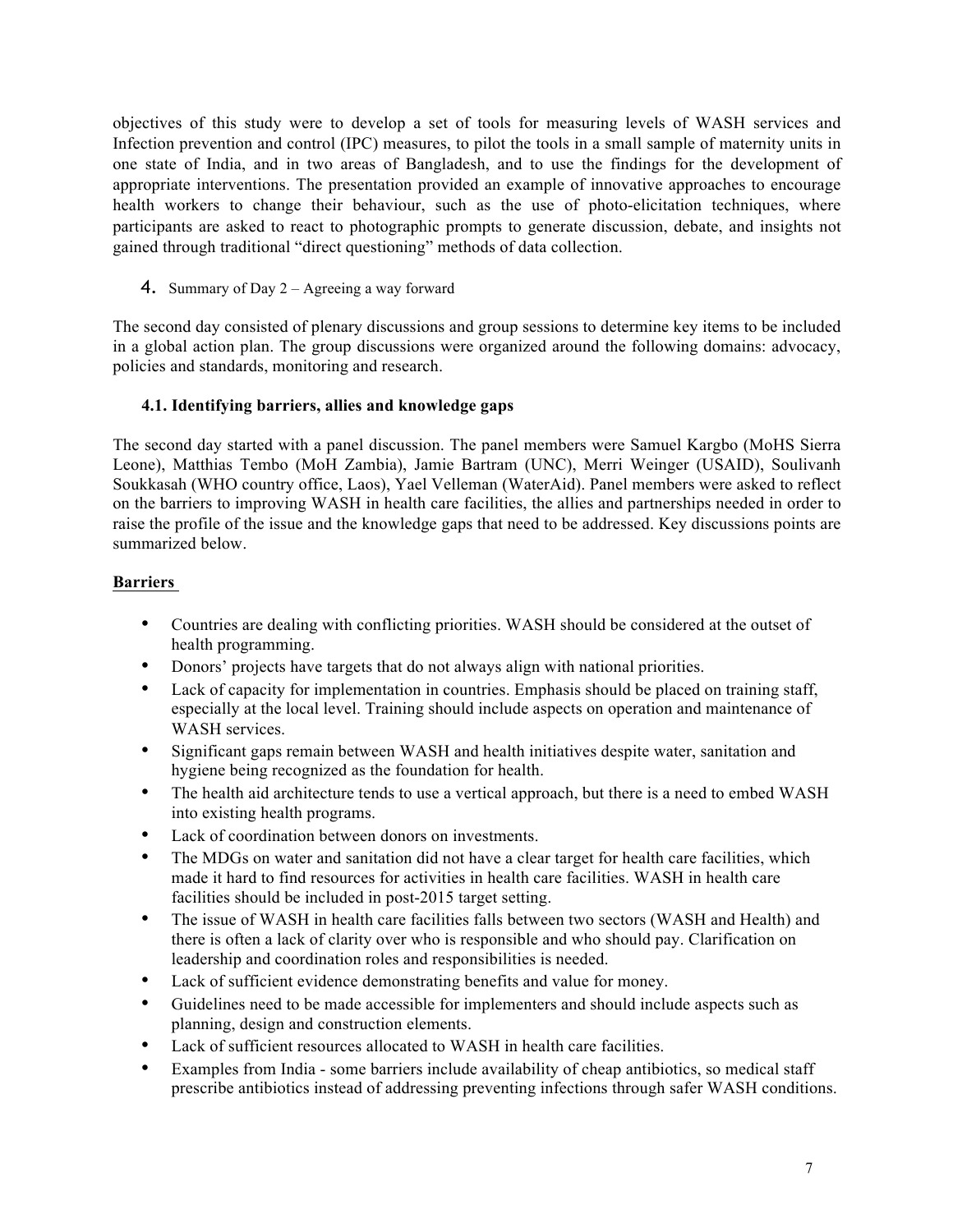objectives of this study were to develop a set of tools for measuring levels of WASH services and Infection prevention and control (IPC) measures, to pilot the tools in a small sample of maternity units in one state of India, and in two areas of Bangladesh, and to use the findings for the development of appropriate interventions. The presentation provided an example of innovative approaches to encourage health workers to change their behaviour, such as the use of photo-elicitation techniques, where participants are asked to react to photographic prompts to generate discussion, debate, and insights not gained through traditional "direct questioning" methods of data collection.

4. Summary of Day 2 – Agreeing a way forward

The second day consisted of plenary discussions and group sessions to determine key items to be included in a global action plan. The group discussions were organized around the following domains: advocacy, policies and standards, monitoring and research.

## **4.1. Identifying barriers, allies and knowledge gaps**

The second day started with a panel discussion. The panel members were Samuel Kargbo (MoHS Sierra Leone), Matthias Tembo (MoH Zambia), Jamie Bartram (UNC), Merri Weinger (USAID), Soulivanh Soukkasah (WHO country office, Laos), Yael Velleman (WaterAid). Panel members were asked to reflect on the barriers to improving WASH in health care facilities, the allies and partnerships needed in order to raise the profile of the issue and the knowledge gaps that need to be addressed. Key discussions points are summarized below.

## **Barriers**

- Countries are dealing with conflicting priorities. WASH should be considered at the outset of health programming.
- Donors' projects have targets that do not always align with national priorities.
- Lack of capacity for implementation in countries. Emphasis should be placed on training staff, especially at the local level. Training should include aspects on operation and maintenance of WASH services.
- Significant gaps remain between WASH and health initiatives despite water, sanitation and hygiene being recognized as the foundation for health.
- The health aid architecture tends to use a vertical approach, but there is a need to embed WASH into existing health programs.
- Lack of coordination between donors on investments.
- The MDGs on water and sanitation did not have a clear target for health care facilities, which made it hard to find resources for activities in health care facilities. WASH in health care facilities should be included in post-2015 target setting.
- The issue of WASH in health care facilities falls between two sectors (WASH and Health) and there is often a lack of clarity over who is responsible and who should pay. Clarification on leadership and coordination roles and responsibilities is needed.
- Lack of sufficient evidence demonstrating benefits and value for money.
- Guidelines need to be made accessible for implementers and should include aspects such as planning, design and construction elements.
- Lack of sufficient resources allocated to WASH in health care facilities.
- Examples from India some barriers include availability of cheap antibiotics, so medical staff prescribe antibiotics instead of addressing preventing infections through safer WASH conditions.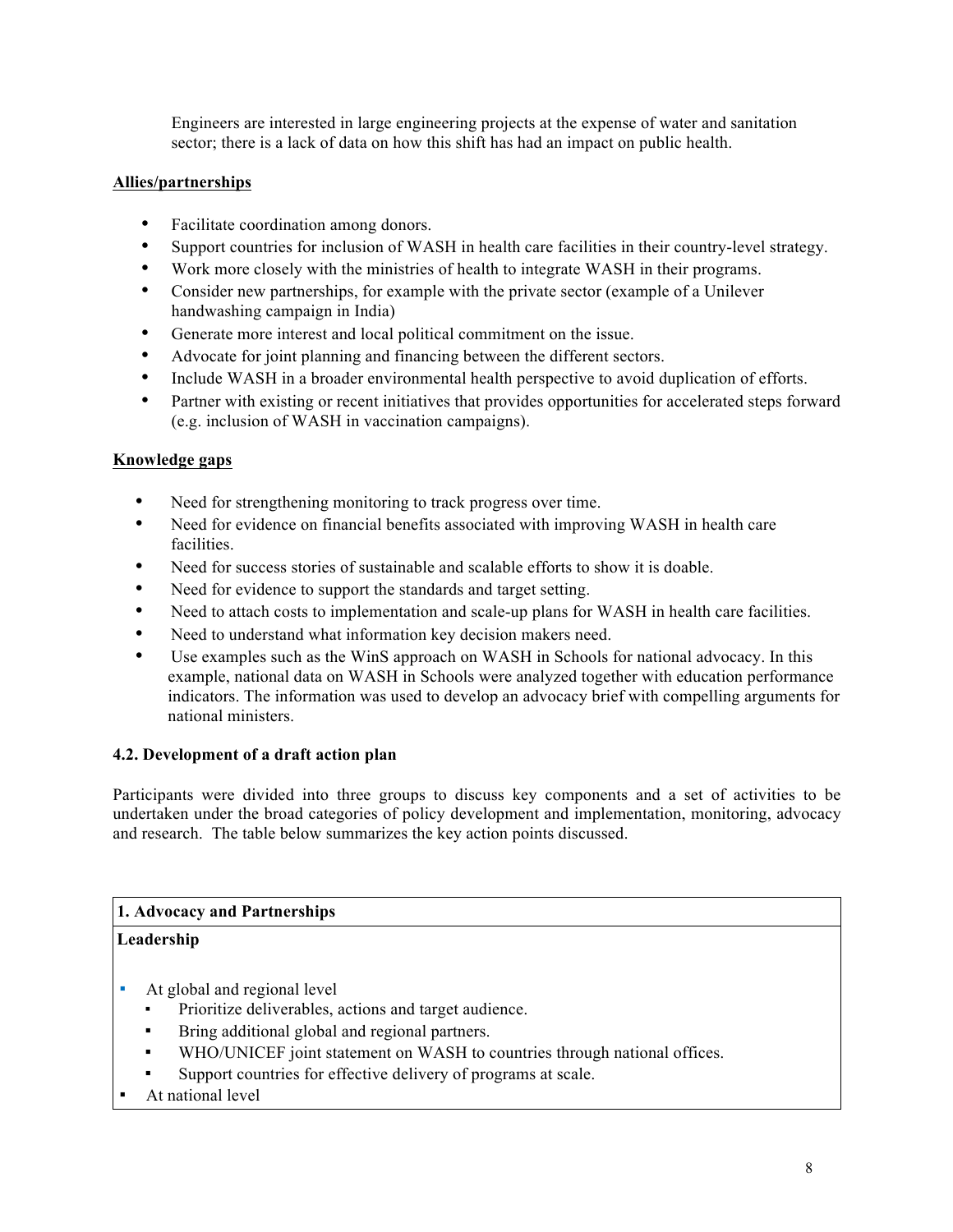Engineers are interested in large engineering projects at the expense of water and sanitation sector; there is a lack of data on how this shift has had an impact on public health.

## **Allies/partnerships**

- Facilitate coordination among donors.
- Support countries for inclusion of WASH in health care facilities in their country-level strategy.
- Work more closely with the ministries of health to integrate WASH in their programs.
- Consider new partnerships, for example with the private sector (example of a Unilever handwashing campaign in India)
- Generate more interest and local political commitment on the issue.
- Advocate for joint planning and financing between the different sectors.
- Include WASH in a broader environmental health perspective to avoid duplication of efforts.
- Partner with existing or recent initiatives that provides opportunities for accelerated steps forward (e.g. inclusion of WASH in vaccination campaigns).

## **Knowledge gaps**

- Need for strengthening monitoring to track progress over time.
- Need for evidence on financial benefits associated with improving WASH in health care facilities.
- Need for success stories of sustainable and scalable efforts to show it is doable.
- Need for evidence to support the standards and target setting.
- Need to attach costs to implementation and scale-up plans for WASH in health care facilities.
- Need to understand what information key decision makers need.
- Use examples such as the WinS approach on WASH in Schools for national advocacy. In this example, national data on WASH in Schools were analyzed together with education performance indicators. The information was used to develop an advocacy brief with compelling arguments for national ministers.

## **4.2. Development of a draft action plan**

Participants were divided into three groups to discuss key components and a set of activities to be undertaken under the broad categories of policy development and implementation, monitoring, advocacy and research. The table below summarizes the key action points discussed.

## **1. Advocacy and Partnerships**

## **Leadership**

- At global and regional level
	- Prioritize deliverables, actions and target audience.
	- Bring additional global and regional partners.
	- WHO/UNICEF joint statement on WASH to countries through national offices.
	- Support countries for effective delivery of programs at scale.
- At national level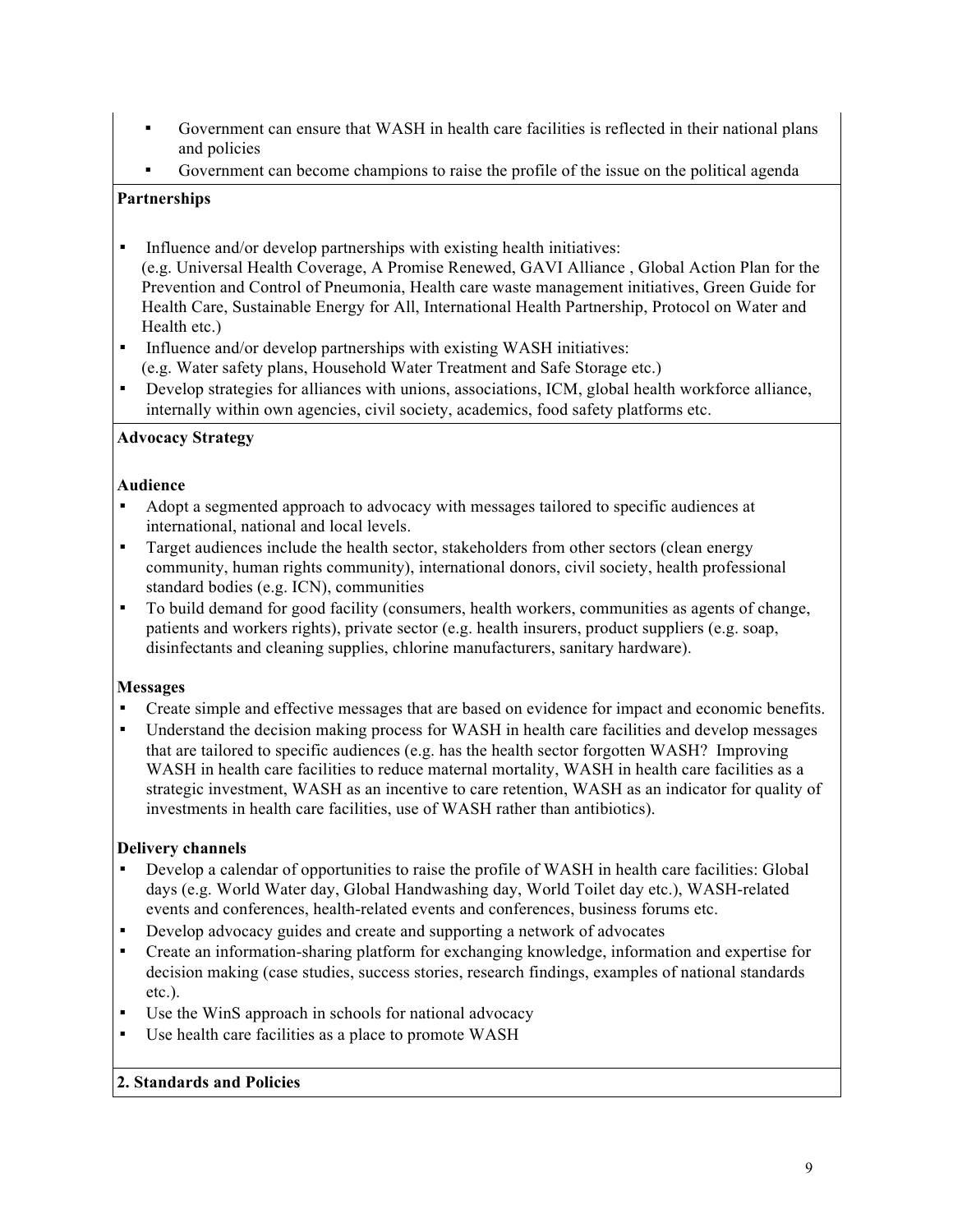- Government can ensure that WASH in health care facilities is reflected in their national plans and policies
- Government can become champions to raise the profile of the issue on the political agenda

## **Partnerships**

- Influence and/or develop partnerships with existing health initiatives: (e.g. Universal Health Coverage, A Promise Renewed, GAVI Alliance , Global Action Plan for the Prevention and Control of Pneumonia, Health care waste management initiatives, Green Guide for Health Care, Sustainable Energy for All, International Health Partnership, Protocol on Water and Health etc.)
- **•** Influence and/or develop partnerships with existing WASH initiatives: (e.g. Water safety plans, Household Water Treatment and Safe Storage etc.)
- Develop strategies for alliances with unions, associations, ICM, global health workforce alliance, internally within own agencies, civil society, academics, food safety platforms etc.

## **Advocacy Strategy**

## **Audience**

- Adopt a segmented approach to advocacy with messages tailored to specific audiences at international, national and local levels.
- Target audiences include the health sector, stakeholders from other sectors (clean energy community, human rights community), international donors, civil society, health professional standard bodies (e.g. ICN), communities
- To build demand for good facility (consumers, health workers, communities as agents of change, patients and workers rights), private sector (e.g. health insurers, product suppliers (e.g. soap, disinfectants and cleaning supplies, chlorine manufacturers, sanitary hardware).

## **Messages**

- Create simple and effective messages that are based on evidence for impact and economic benefits.
- Understand the decision making process for WASH in health care facilities and develop messages that are tailored to specific audiences (e.g. has the health sector forgotten WASH? Improving WASH in health care facilities to reduce maternal mortality, WASH in health care facilities as a strategic investment, WASH as an incentive to care retention, WASH as an indicator for quality of investments in health care facilities, use of WASH rather than antibiotics).

## **Delivery channels**

- Develop a calendar of opportunities to raise the profile of WASH in health care facilities: Global days (e.g. World Water day, Global Handwashing day, World Toilet day etc.), WASH-related events and conferences, health-related events and conferences, business forums etc.
- Develop advocacy guides and create and supporting a network of advocates
- Create an information-sharing platform for exchanging knowledge, information and expertise for decision making (case studies, success stories, research findings, examples of national standards etc.).
- Use the WinS approach in schools for national advocacy
- Use health care facilities as a place to promote WASH

## **2. Standards and Policies**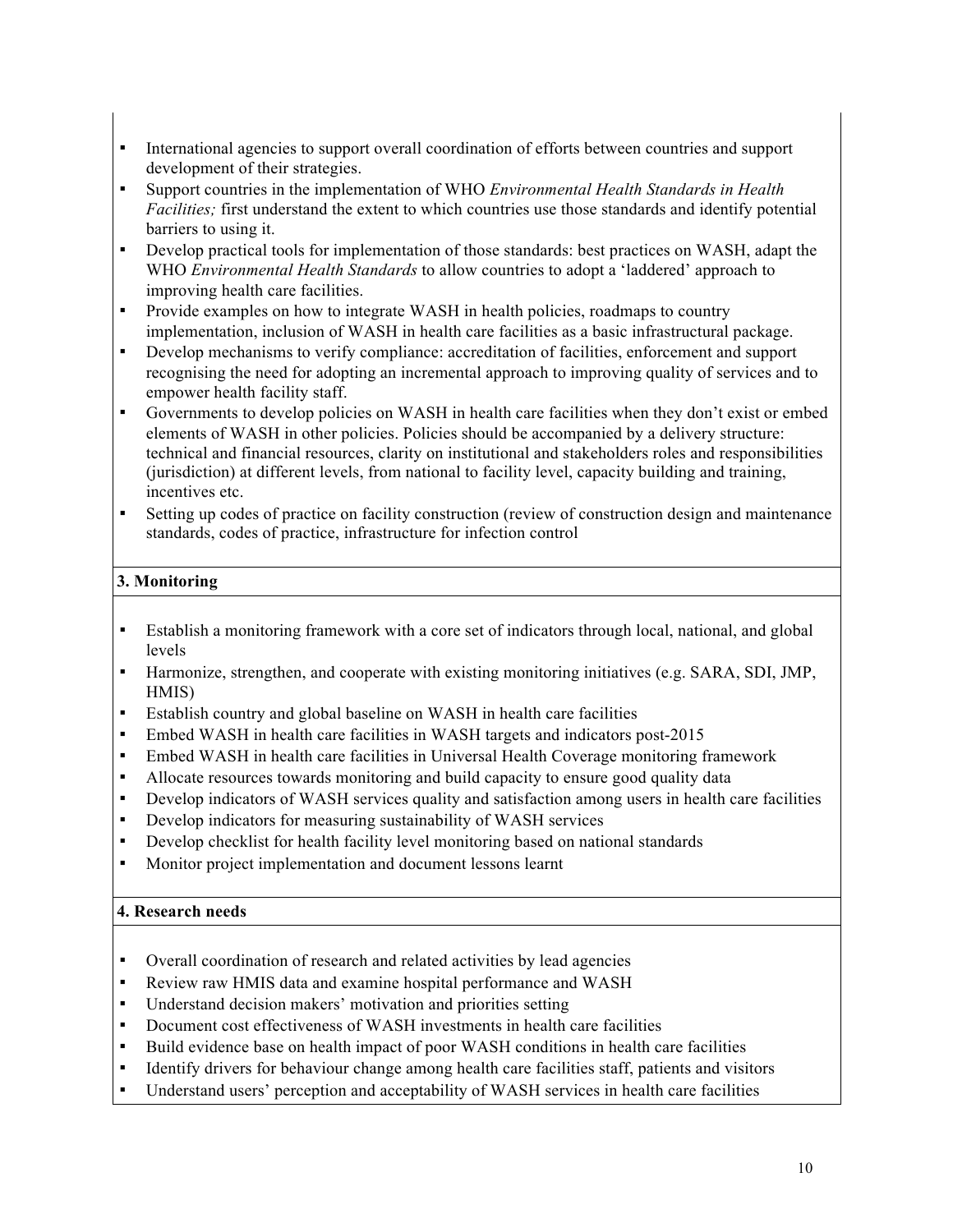- International agencies to support overall coordination of efforts between countries and support development of their strategies.
- Support countries in the implementation of WHO *Environmental Health Standards in Health Facilities;* first understand the extent to which countries use those standards and identify potential barriers to using it.
- Develop practical tools for implementation of those standards: best practices on WASH, adapt the WHO *Environmental Health Standards* to allow countries to adopt a 'laddered' approach to improving health care facilities.
- Provide examples on how to integrate WASH in health policies, roadmaps to country implementation, inclusion of WASH in health care facilities as a basic infrastructural package.
- Develop mechanisms to verify compliance: accreditation of facilities, enforcement and support recognising the need for adopting an incremental approach to improving quality of services and to empower health facility staff.
- Governments to develop policies on WASH in health care facilities when they don't exist or embed elements of WASH in other policies. Policies should be accompanied by a delivery structure: technical and financial resources, clarity on institutional and stakeholders roles and responsibilities (jurisdiction) at different levels, from national to facility level, capacity building and training, incentives etc.
- **EXECUTE:** Setting up codes of practice on facility construction (review of construction design and maintenance standards, codes of practice, infrastructure for infection control

## **3. Monitoring**

- Establish a monitoring framework with a core set of indicators through local, national, and global levels
- Harmonize, strengthen, and cooperate with existing monitoring initiatives (e.g. SARA, SDI, JMP, HMIS)
- Establish country and global baseline on WASH in health care facilities
- Embed WASH in health care facilities in WASH targets and indicators post-2015
- Embed WASH in health care facilities in Universal Health Coverage monitoring framework
- Allocate resources towards monitoring and build capacity to ensure good quality data
- Develop indicators of WASH services quality and satisfaction among users in health care facilities
- Develop indicators for measuring sustainability of WASH services
- Develop checklist for health facility level monitoring based on national standards
- Monitor project implementation and document lessons learnt

## **4. Research needs**

- Overall coordination of research and related activities by lead agencies
- Review raw HMIS data and examine hospital performance and WASH
- Understand decision makers' motivation and priorities setting
- Document cost effectiveness of WASH investments in health care facilities
- Build evidence base on health impact of poor WASH conditions in health care facilities
- **•** Identify drivers for behaviour change among health care facilities staff, patients and visitors
- Understand users' perception and acceptability of WASH services in health care facilities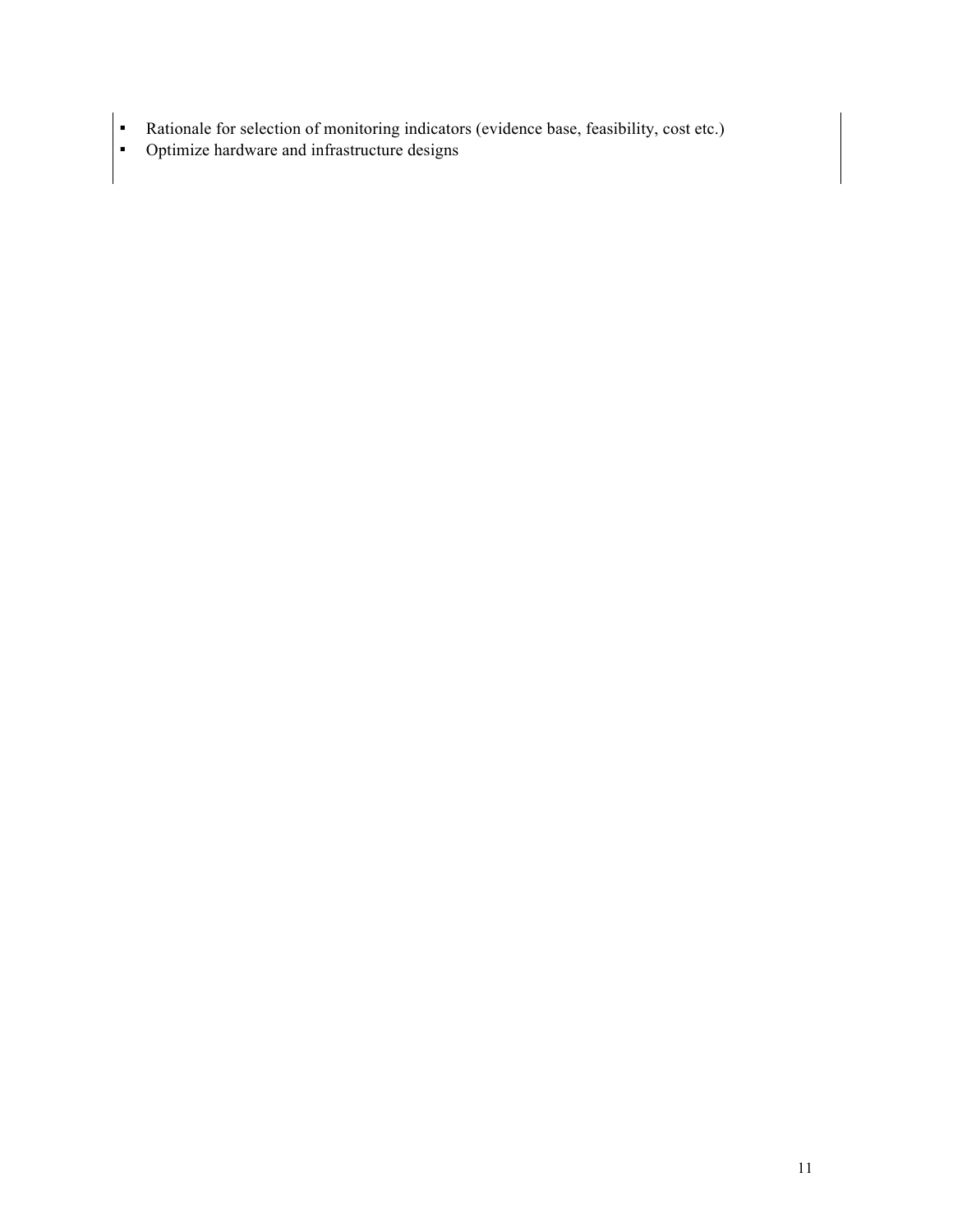- Rationale for selection of monitoring indicators (evidence base, feasibility, cost etc.)
- **•** Optimize hardware and infrastructure designs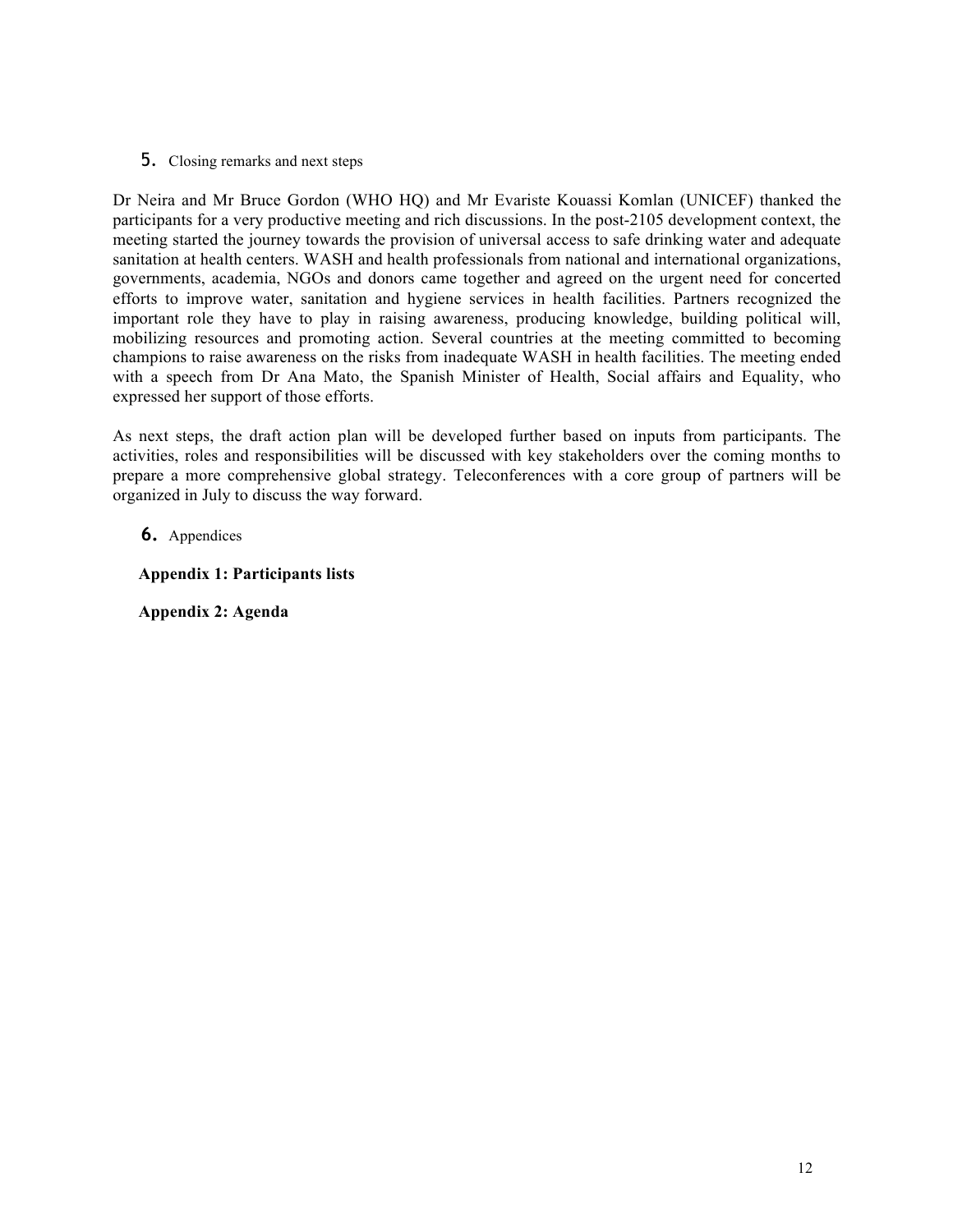5. Closing remarks and next steps

Dr Neira and Mr Bruce Gordon (WHO HQ) and Mr Evariste Kouassi Komlan (UNICEF) thanked the participants for a very productive meeting and rich discussions. In the post-2105 development context, the meeting started the journey towards the provision of universal access to safe drinking water and adequate sanitation at health centers. WASH and health professionals from national and international organizations, governments, academia, NGOs and donors came together and agreed on the urgent need for concerted efforts to improve water, sanitation and hygiene services in health facilities. Partners recognized the important role they have to play in raising awareness, producing knowledge, building political will, mobilizing resources and promoting action. Several countries at the meeting committed to becoming champions to raise awareness on the risks from inadequate WASH in health facilities. The meeting ended with a speech from Dr Ana Mato, the Spanish Minister of Health, Social affairs and Equality, who expressed her support of those efforts.

As next steps, the draft action plan will be developed further based on inputs from participants. The activities, roles and responsibilities will be discussed with key stakeholders over the coming months to prepare a more comprehensive global strategy. Teleconferences with a core group of partners will be organized in July to discuss the way forward.

## **6.** Appendices

**Appendix 1: Participants lists**

**Appendix 2: Agenda**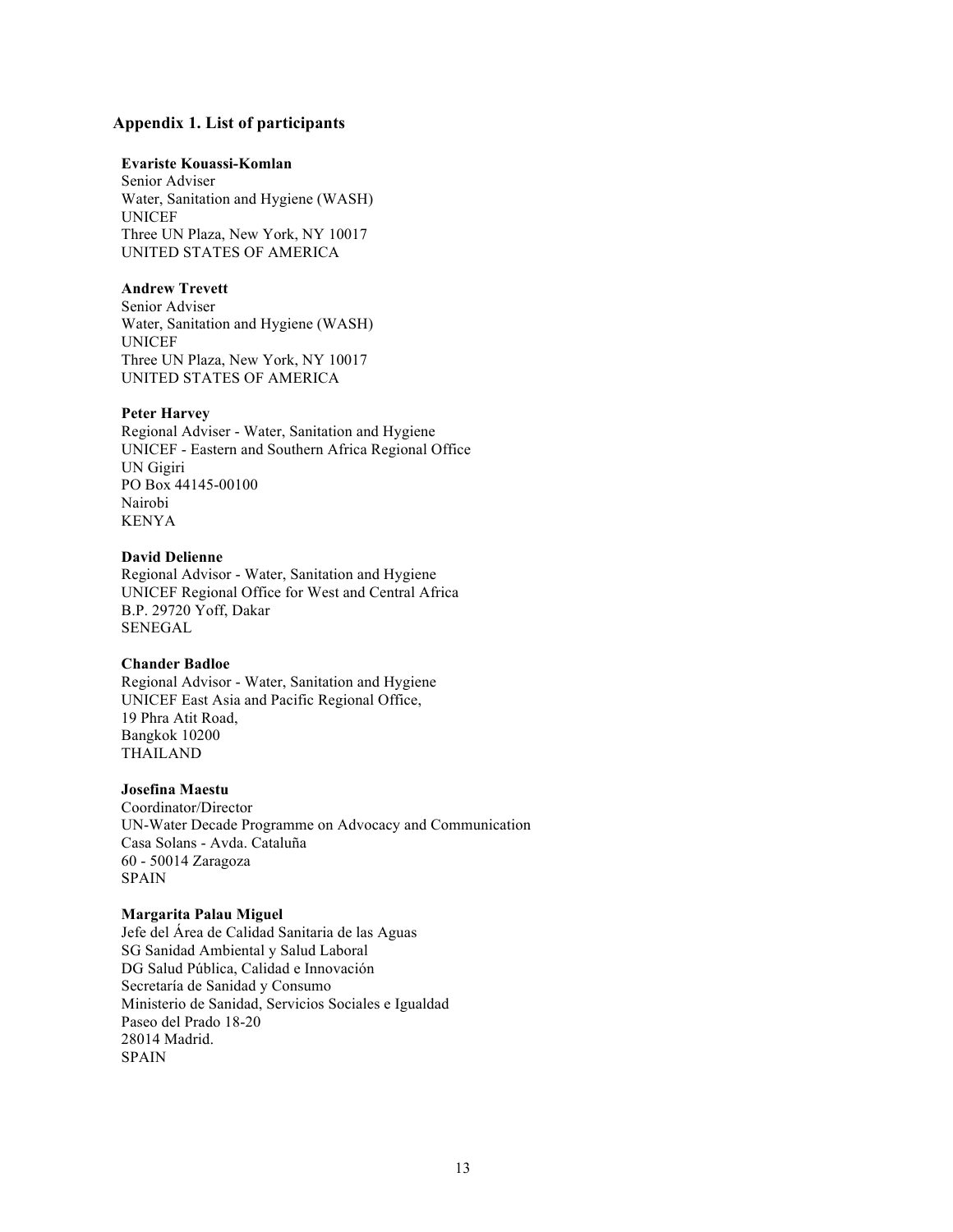#### **Appendix 1. List of participants**

#### **Evariste Kouassi-Komlan**

Senior Adviser Water, Sanitation and Hygiene (WASH) UNICEF Three UN Plaza, New York, NY 10017 UNITED STATES OF AMERICA

#### **Andrew Trevett**

Senior Adviser Water, Sanitation and Hygiene (WASH) UNICEF Three UN Plaza, New York, NY 10017 UNITED STATES OF AMERICA

#### **Peter Harvey**

Regional Adviser - Water, Sanitation and Hygiene UNICEF - Eastern and Southern Africa Regional Office UN Gigiri PO Box 44145-00100 Nairobi KENYA

#### **David Delienne**

Regional Advisor - Water, Sanitation and Hygiene UNICEF Regional Office for West and Central Africa B.P. 29720 Yoff, Dakar SENEGAL

#### **Chander Badloe**

Regional Advisor - Water, Sanitation and Hygiene UNICEF East Asia and Pacific Regional Office, 19 Phra Atit Road, Bangkok 10200 THAILAND

## **Josefina Maestu**

Coordinator/Director UN-Water Decade Programme on Advocacy and Communication Casa Solans - Avda. Cataluña 60 - 50014 Zaragoza SPAIN

#### **Margarita Palau Miguel**

Jefe del Área de Calidad Sanitaria de las Aguas SG Sanidad Ambiental y Salud Laboral DG Salud Pública, Calidad e Innovación Secretaría de Sanidad y Consumo Ministerio de Sanidad, Servicios Sociales e Igualdad Paseo del Prado 18-20 28014 Madrid. SPAIN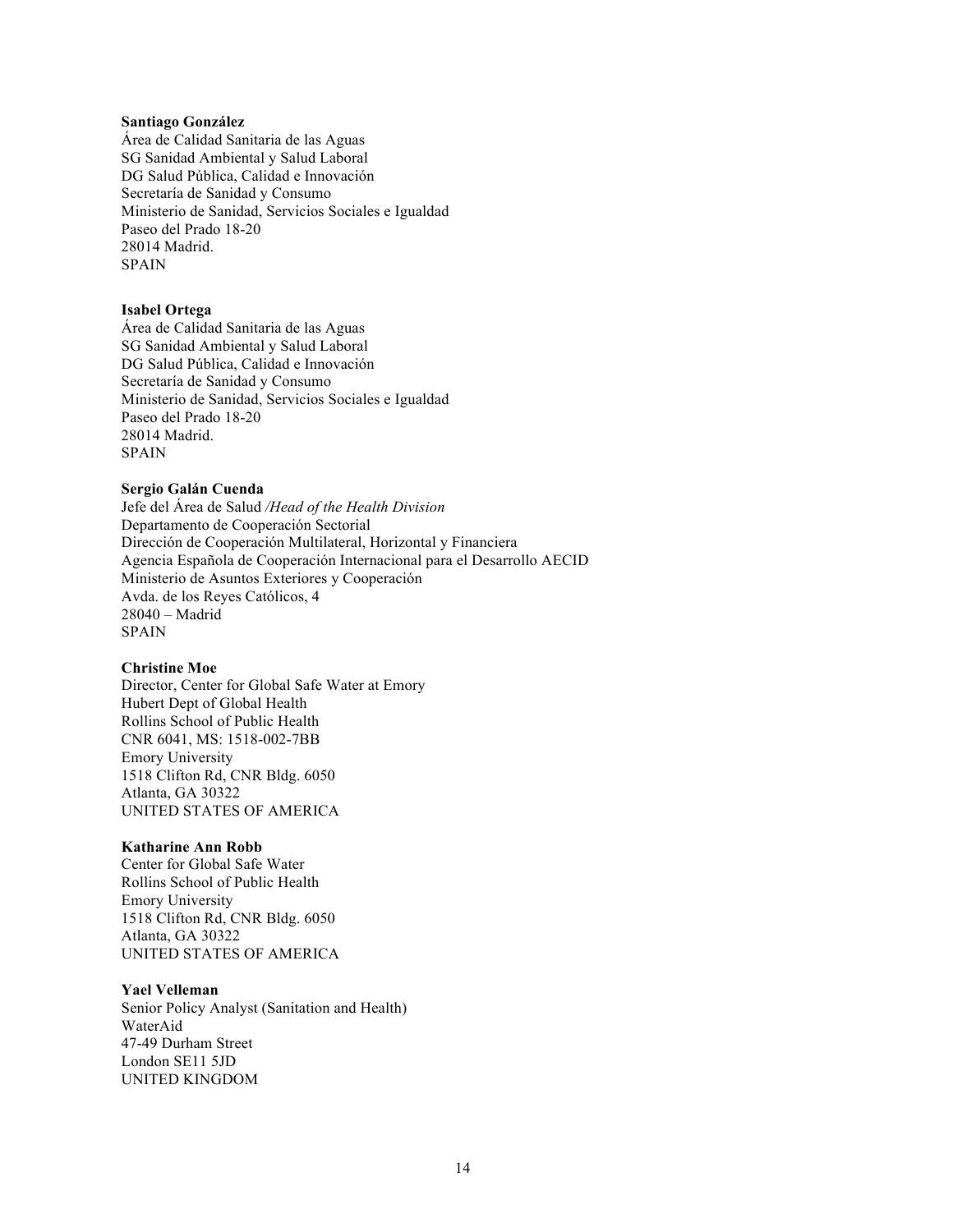#### **Santiago González**

Área de Calidad Sanitaria de las Aguas SG Sanidad Ambiental y Salud Laboral DG Salud Pública, Calidad e Innovación Secretaría de Sanidad y Consumo Ministerio de Sanidad, Servicios Sociales e Igualdad Paseo del Prado 18-20 28014 Madrid. SPAIN

#### **Isabel Ortega**

Área de Calidad Sanitaria de las Aguas SG Sanidad Ambiental y Salud Laboral DG Salud Pública, Calidad e Innovación Secretaría de Sanidad y Consumo Ministerio de Sanidad, Servicios Sociales e Igualdad Paseo del Prado 18-20 28014 Madrid. SPAIN

#### **Sergio Galán Cuenda**

Jefe del Área de Salud */Head of the Health Division* Departamento de Cooperación Sectorial Dirección de Cooperación Multilateral, Horizontal y Financiera Agencia Española de Cooperación Internacional para el Desarrollo AECID Ministerio de Asuntos Exteriores y Cooperación Avda. de los Reyes Católicos, 4 28040 – Madrid SPAIN

#### **Christine Moe**

Director, Center for Global Safe Water at Emory Hubert Dept of Global Health Rollins School of Public Health CNR 6041, MS: 1518-002-7BB Emory University 1518 Clifton Rd, CNR Bldg. 6050 Atlanta, GA 30322 UNITED STATES OF AMERICA

#### **Katharine Ann Robb**

Center for Global Safe Water Rollins School of Public Health Emory University 1518 Clifton Rd, CNR Bldg. 6050 Atlanta, GA 30322 UNITED STATES OF AMERICA

#### **Yael Velleman**

Senior Policy Analyst (Sanitation and Health) WaterAid 47-49 Durham Street London SE11 5JD UNITED KINGDOM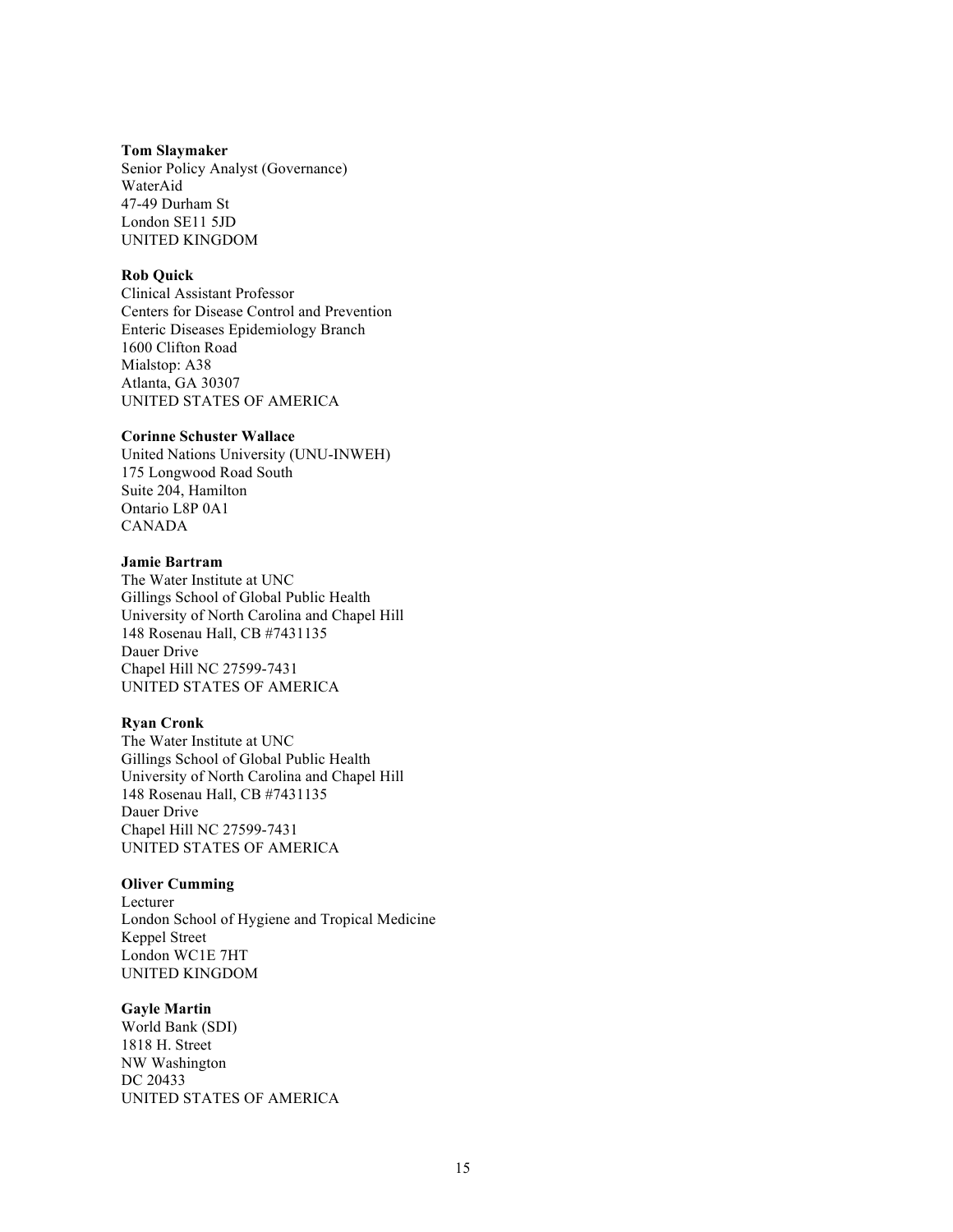#### **Tom Slaymaker**

Senior Policy Analyst (Governance) WaterAid 47-49 Durham St London SE11 5JD UNITED KINGDOM

#### **Rob Quick**

Clinical Assistant Professor Centers for Disease Control and Prevention Enteric Diseases Epidemiology Branch 1600 Clifton Road Mialstop: A38 Atlanta, GA 30307 UNITED STATES OF AMERICA

#### **Corinne Schuster Wallace**

United Nations University (UNU-INWEH) 175 Longwood Road South Suite 204, Hamilton Ontario L8P 0A1 CANADA

#### **Jamie Bartram**

The Water Institute at UNC Gillings School of Global Public Health University of North Carolina and Chapel Hill 148 Rosenau Hall, CB #7431135 Dauer Drive Chapel Hill NC 27599-7431 UNITED STATES OF AMERICA

#### **Ryan Cronk**

The Water Institute at UNC Gillings School of Global Public Health University of North Carolina and Chapel Hill 148 Rosenau Hall, CB #7431135 Dauer Drive Chapel Hill NC 27599-7431 UNITED STATES OF AMERICA

#### **Oliver Cumming**

Lecturer London School of Hygiene and Tropical Medicine Keppel Street London WC1E 7HT UNITED KINGDOM

#### **Gayle Martin**

World Bank (SDI) 1818 H. Street NW Washington DC 20433 UNITED STATES OF AMERICA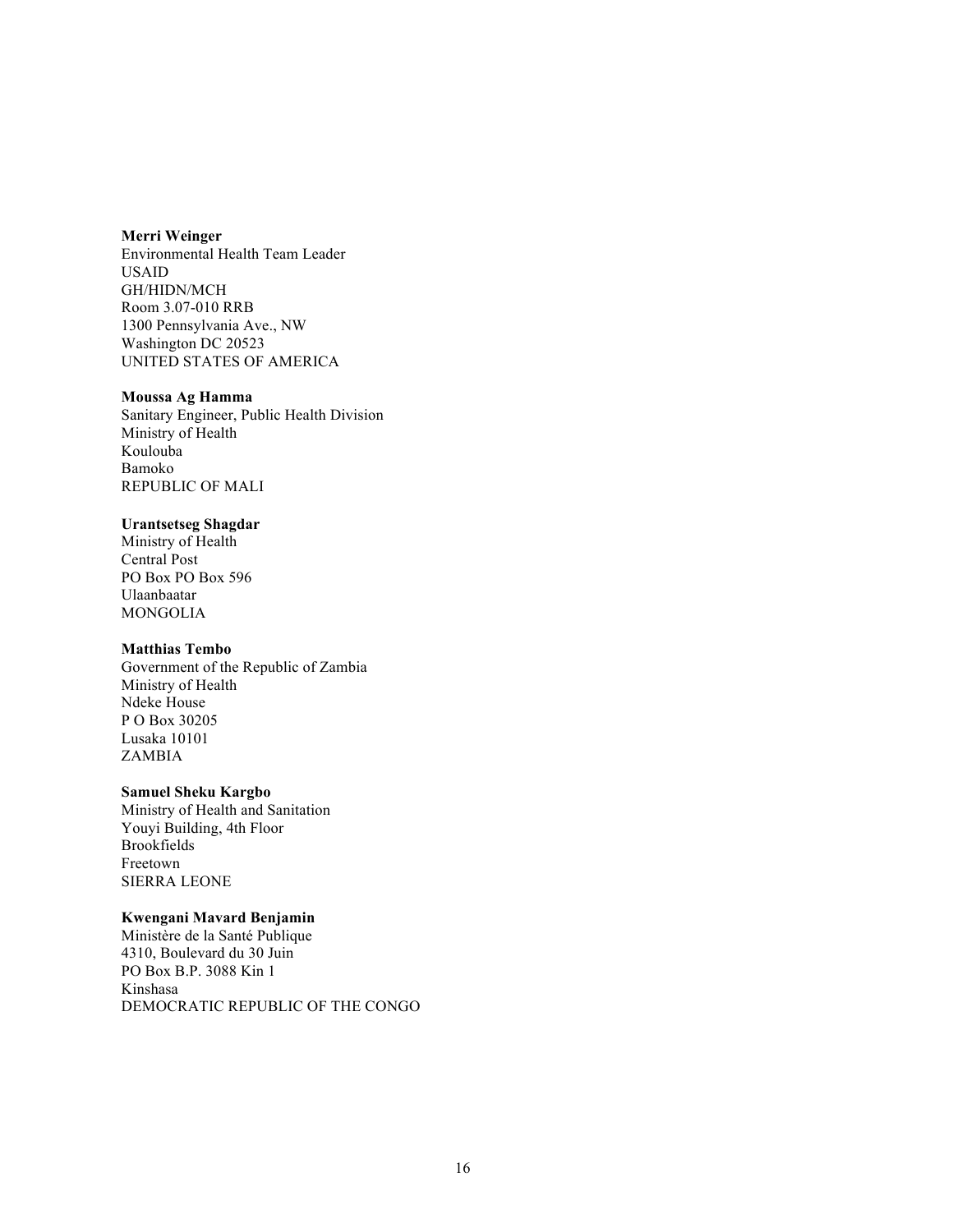#### **Merri Weinger**

Environmental Health Team Leader USAID GH/HIDN/MCH Room 3.07-010 RRB 1300 Pennsylvania Ave., NW Washington DC 20523 UNITED STATES OF AMERICA

#### **Moussa Ag Hamma**

Sanitary Engineer, Public Health Division Ministry of Health Koulouba Bamoko REPUBLIC OF MALI

#### **Urantsetseg Shagdar**

Ministry of Health Central Post PO Box PO Box 596 Ulaanbaatar MONGOLIA

#### **Matthias Tembo**

Government of the Republic of Zambia Ministry of Health Ndeke House P O Box 30205 Lusaka 10101 ZAMBIA

#### **Samuel Sheku Kargbo**

Ministry of Health and Sanitation Youyi Building, 4th Floor Brookfields Freetown SIERRA LEONE

#### **Kwengani Mavard Benjamin**

Ministère de la Santé Publique 4310, Boulevard du 30 Juin PO Box B.P. 3088 Kin 1 Kinshasa DEMOCRATIC REPUBLIC OF THE CONGO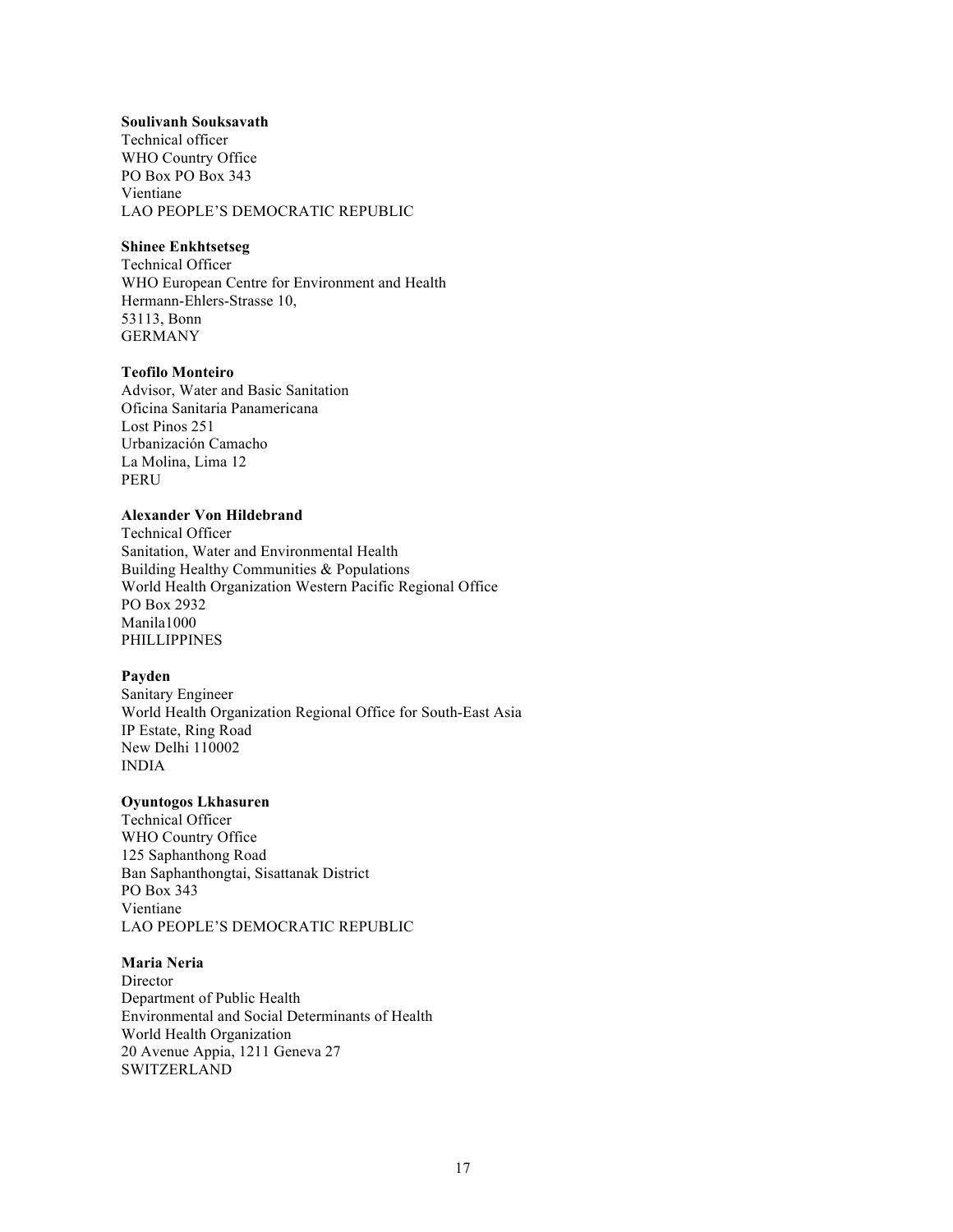#### **Soulivanh Souksavath**

Technical officer WHO Country Office PO Box PO Box 343 Vientiane LAO PEOPLE'S DEMOCRATIC REPUBLIC

#### **Shinee Enkhtsetseg**

Technical Officer WHO European Centre for Environment and Health Hermann-Ehlers-Strasse 10, 53113, Bonn GERMANY

#### **Teofilo Monteiro**

Advisor, Water and Basic Sanitation Oficina Sanitaria Panamericana Lost Pinos 251 Urbanización Camacho La Molina, Lima 12 PERU

## **Alexander Von Hildebrand**

Technical Officer Sanitation, Water and Environmental Health Building Healthy Communities & Populations World Health Organization Western Pacific Regional Office PO Box 2932 Manila1000 PHILLIPPINES

#### **Payden**

Sanitary Engineer World Health Organization Regional Office for South-East Asia IP Estate, Ring Road New Delhi 110002 INDIA

#### **Oyuntogos Lkhasuren**

Technical Officer WHO Country Office 125 Saphanthong Road Ban Saphanthongtai, Sisattanak District PO Box 343 Vientiane LAO PEOPLE'S DEMOCRATIC REPUBLIC

#### **Maria Neria**

Director Department of Public Health Environmental and Social Determinants of Health World Health Organization 20 Avenue Appia, 1211 Geneva 27 **SWITZERLAND**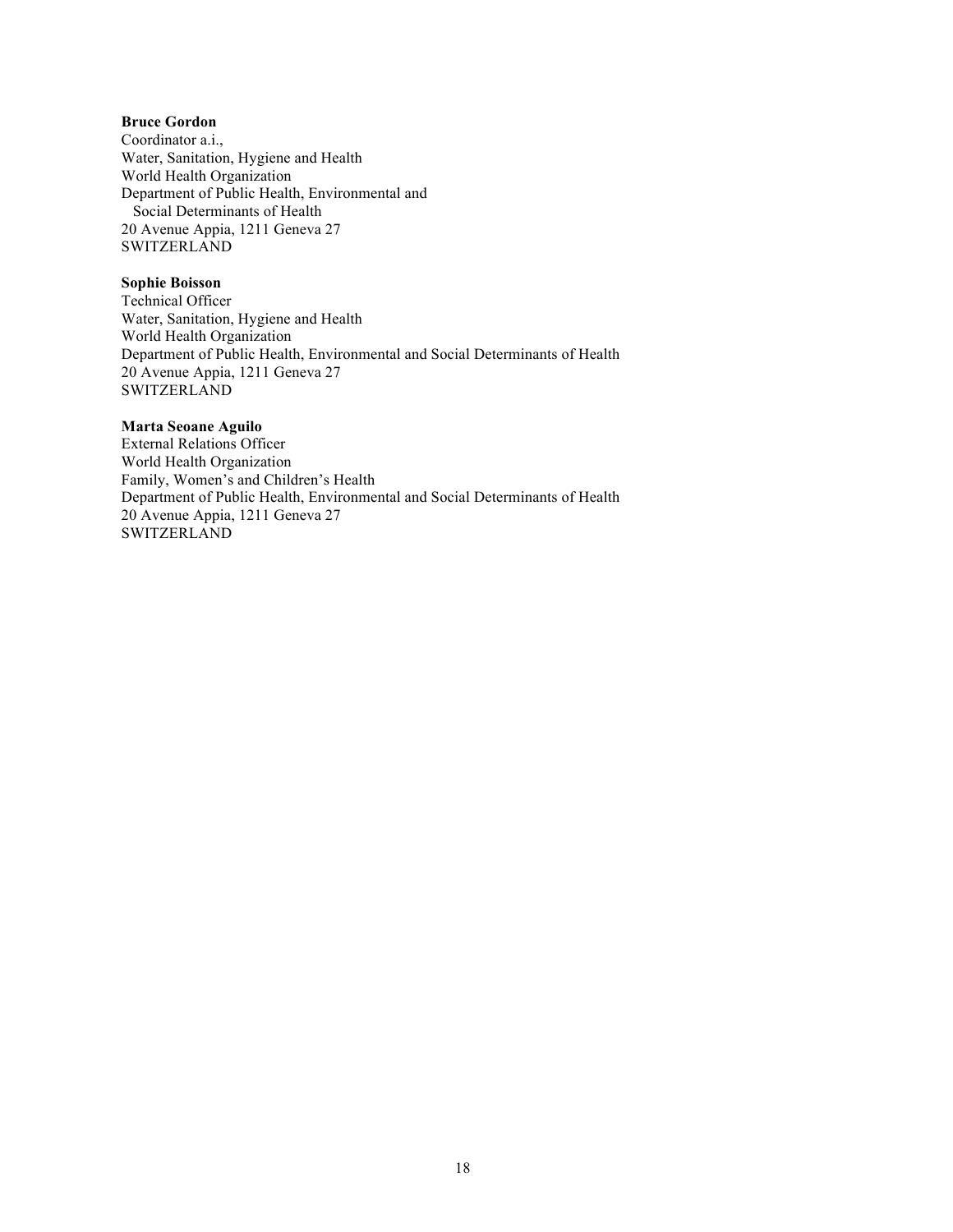## **Bruce Gordon**

Coordinator a.i., Water, Sanitation, Hygiene and Health World Health Organization Department of Public Health, Environmental and Social Determinants of Health 20 Avenue Appia, 1211 Geneva 27 SWITZERLAND

#### **Sophie Boisson**

Technical Officer Water, Sanitation, Hygiene and Health World Health Organization Department of Public Health, Environmental and Social Determinants of Health 20 Avenue Appia, 1211 Geneva 27 SWITZERLAND

#### **Marta Seoane Aguilo**

External Relations Officer World Health Organization Family, Women's and Children's Health Department of Public Health, Environmental and Social Determinants of Health 20 Avenue Appia, 1211 Geneva 27 **SWITZERLAND**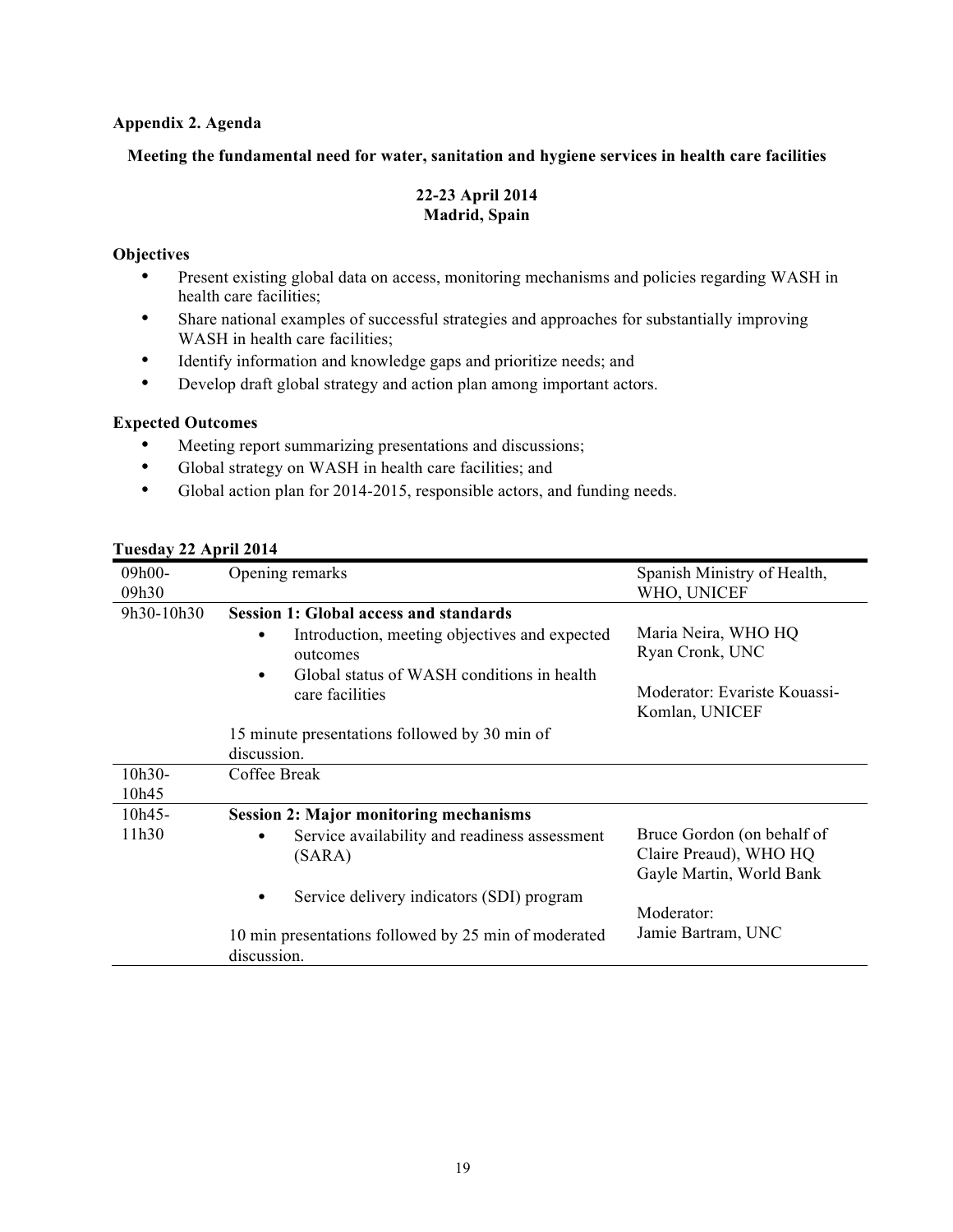## **Appendix 2. Agenda**

## **Meeting the fundamental need for water, sanitation and hygiene services in health care facilities**

## **22-23 April 2014 Madrid, Spain**

## **Objectives**

- Present existing global data on access, monitoring mechanisms and policies regarding WASH in health care facilities;
- Share national examples of successful strategies and approaches for substantially improving WASH in health care facilities;
- Identify information and knowledge gaps and prioritize needs; and
- Develop draft global strategy and action plan among important actors.

## **Expected Outcomes**

- Meeting report summarizing presentations and discussions;
- Global strategy on WASH in health care facilities; and
- Global action plan for 2014-2015, responsible actors, and funding needs.

| 09h00-<br>09h30   | Opening remarks                                                                                         | Spanish Ministry of Health,<br>WHO, UNICEF                                       |
|-------------------|---------------------------------------------------------------------------------------------------------|----------------------------------------------------------------------------------|
| 9h30-10h30        | <b>Session 1: Global access and standards</b>                                                           |                                                                                  |
|                   | Introduction, meeting objectives and expected<br>outcomes<br>Global status of WASH conditions in health | Maria Neira, WHO HQ<br>Ryan Cronk, UNC                                           |
|                   | care facilities                                                                                         | Moderator: Evariste Kouassi-<br>Komlan, UNICEF                                   |
|                   | 15 minute presentations followed by 30 min of                                                           |                                                                                  |
|                   | discussion.                                                                                             |                                                                                  |
| $10h30-$<br>10h45 | Coffee Break                                                                                            |                                                                                  |
| $10h45 -$         | <b>Session 2: Major monitoring mechanisms</b>                                                           |                                                                                  |
| 11h30             | Service availability and readiness assessment<br>(SARA)                                                 | Bruce Gordon (on behalf of<br>Claire Preaud), WHO HQ<br>Gayle Martin, World Bank |
|                   | Service delivery indicators (SDI) program                                                               | Moderator:                                                                       |
|                   | 10 min presentations followed by 25 min of moderated<br>discussion.                                     | Jamie Bartram, UNC                                                               |

## **Tuesday 22 April 2014**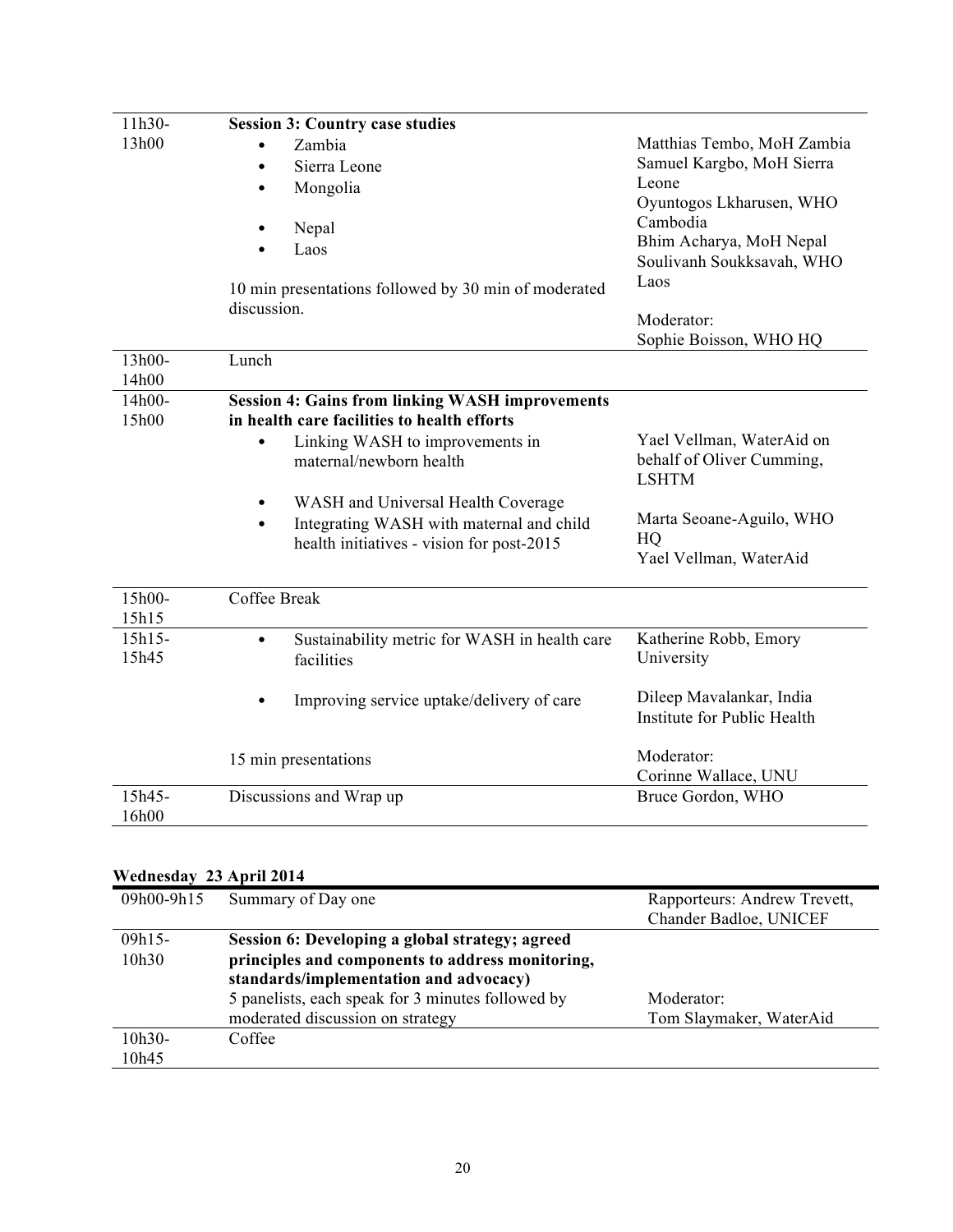| 11h30-          | <b>Session 3: Country case studies</b>                                                                                      |                                                                        |
|-----------------|-----------------------------------------------------------------------------------------------------------------------------|------------------------------------------------------------------------|
| 13h00           | Zambia<br>Sierra Leone<br>Mongolia                                                                                          | Matthias Tembo, MoH Zambia<br>Samuel Kargbo, MoH Sierra<br>Leone       |
|                 | ٠<br>Nepal<br>Laos                                                                                                          | Oyuntogos Lkharusen, WHO<br>Cambodia<br>Bhim Acharya, MoH Nepal        |
|                 | 10 min presentations followed by 30 min of moderated<br>discussion.                                                         | Soulivanh Soukksavah, WHO<br>Laos<br>Moderator:                        |
|                 |                                                                                                                             | Sophie Boisson, WHO HQ                                                 |
| 13h00-<br>14h00 | Lunch                                                                                                                       |                                                                        |
| 14h00-<br>15h00 | <b>Session 4: Gains from linking WASH improvements</b><br>in health care facilities to health efforts                       |                                                                        |
|                 | Linking WASH to improvements in<br>maternal/newborn health                                                                  | Yael Vellman, WaterAid on<br>behalf of Oliver Cumming,<br><b>LSHTM</b> |
|                 | WASH and Universal Health Coverage<br>Integrating WASH with maternal and child<br>health initiatives - vision for post-2015 | Marta Seoane-Aguilo, WHO<br>HQ<br>Yael Vellman, WaterAid               |
| 15h00-<br>15h15 | Coffee Break                                                                                                                |                                                                        |
| 15h15-<br>15h45 | Sustainability metric for WASH in health care<br>facilities                                                                 | Katherine Robb, Emory<br>University                                    |
|                 | Improving service uptake/delivery of care                                                                                   | Dileep Mavalankar, India<br>Institute for Public Health                |
|                 | 15 min presentations                                                                                                        | Moderator:<br>Corinne Wallace, UNU                                     |
| 15h45-<br>16h00 | Discussions and Wrap up                                                                                                     | Bruce Gordon, WHO                                                      |
|                 |                                                                                                                             |                                                                        |

## **Wednesday 23 April 2014**

| 09h00-9h15 | Summary of Day one                                | Rapporteurs: Andrew Trevett, |
|------------|---------------------------------------------------|------------------------------|
|            |                                                   | Chander Badloe, UNICEF       |
| $09h15-$   | Session 6: Developing a global strategy; agreed   |                              |
| 10h30      | principles and components to address monitoring,  |                              |
|            | standards/implementation and advocacy)            |                              |
|            | 5 panelists, each speak for 3 minutes followed by | Moderator:                   |
|            | moderated discussion on strategy                  | Tom Slaymaker, WaterAid      |
| $10h30-$   | Coffee                                            |                              |
| 10h45      |                                                   |                              |